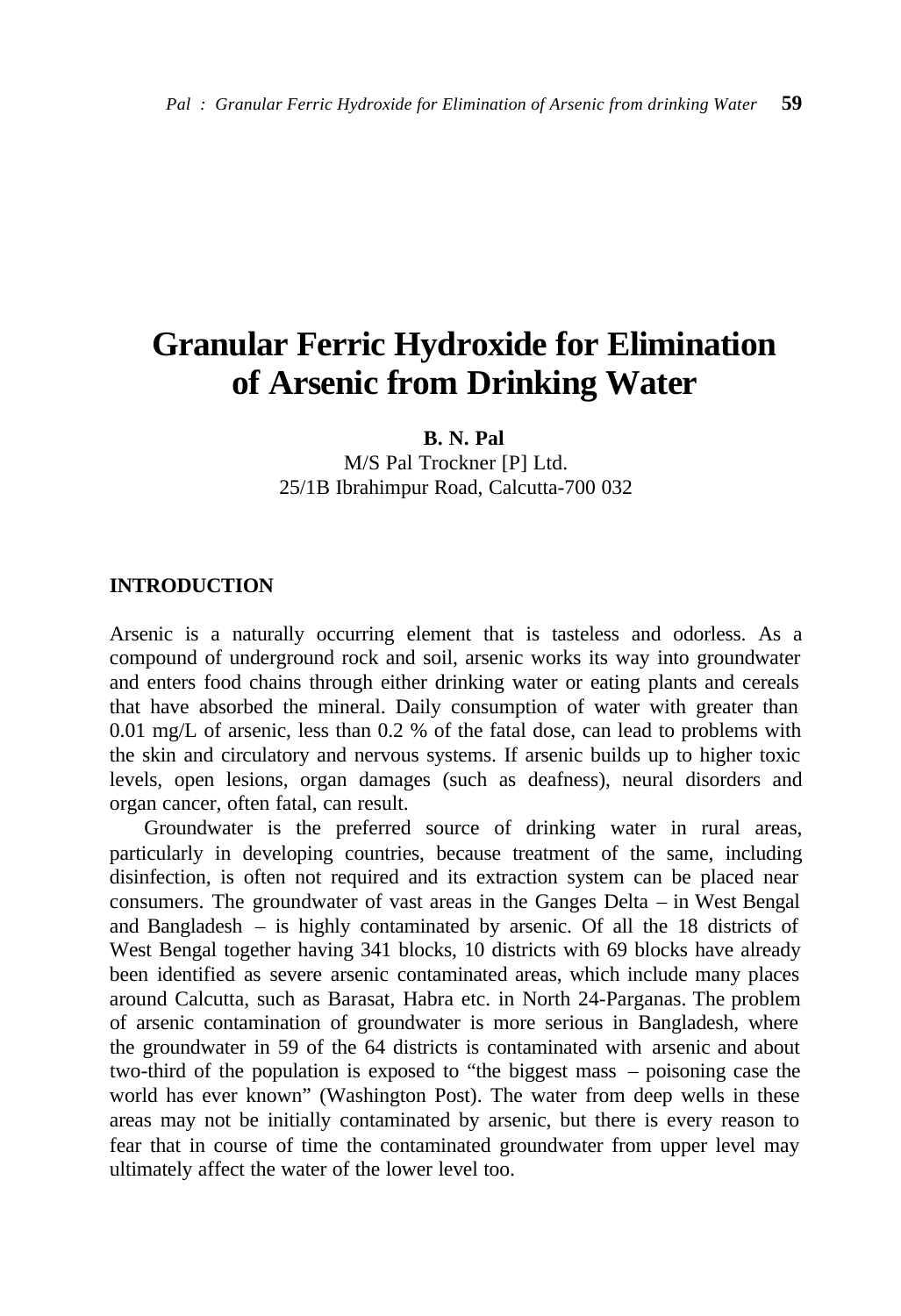# **Granular Ferric Hydroxide for Elimination of Arsenic from Drinking Water**

**B. N. Pal**

M/S Pal Trockner [P] Ltd. 25/1B Ibrahimpur Road, Calcutta-700 032

### **INTRODUCTION**

Arsenic is a naturally occurring element that is tasteless and odorless. As a compound of underground rock and soil, arsenic works its way into groundwater and enters food chains through either drinking water or eating plants and cereals that have absorbed the mineral. Daily consumption of water with greater than 0.01 mg/L of arsenic, less than 0.2 % of the fatal dose, can lead to problems with the skin and circulatory and nervous systems. If arsenic builds up to higher toxic levels, open lesions, organ damages (such as deafness), neural disorders and organ cancer, often fatal, can result.

Groundwater is the preferred source of drinking water in rural areas, particularly in developing countries, because treatment of the same, including disinfection, is often not required and its extraction system can be placed near consumers. The groundwater of vast areas in the Ganges Delta – in West Bengal and Bangladesh – is highly contaminated by arsenic. Of all the 18 districts of West Bengal together having 341 blocks, 10 districts with 69 blocks have already been identified as severe arsenic contaminated areas, which include many places around Calcutta, such as Barasat, Habra etc. in North 24-Parganas. The problem of arsenic contamination of groundwater is more serious in Bangladesh, where the groundwater in 59 of the 64 districts is contaminated with arsenic and about two-third of the population is exposed to "the biggest mass – poisoning case the world has ever known" (Washington Post). The water from deep wells in these areas may not be initially contaminated by arsenic, but there is every reason to fear that in course of time the contaminated groundwater from upper level may ultimately affect the water of the lower level too.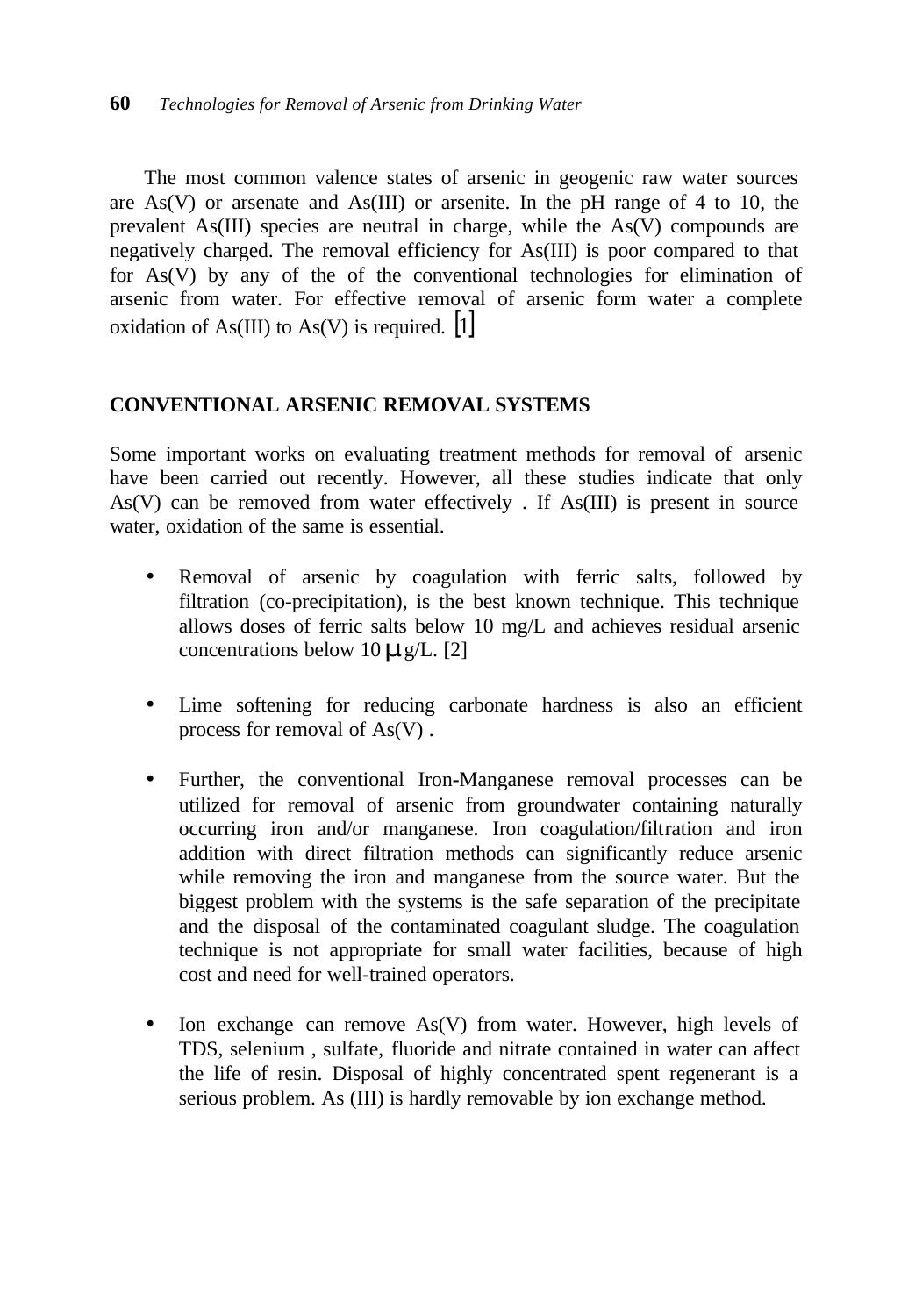The most common valence states of arsenic in geogenic raw water sources are  $As(V)$  or arsenate and  $As(III)$  or arsenite. In the pH range of 4 to 10, the prevalent As(III) species are neutral in charge, while the As(V) compounds are negatively charged. The removal efficiency for As(III) is poor compared to that for As(V) by any of the of the conventional technologies for elimination of arsenic from water. For effective removal of arsenic form water a complete oxidation of As(III) to As(V) is required.  $[1]$ 

## **CONVENTIONAL ARSENIC REMOVAL SYSTEMS**

Some important works on evaluating treatment methods for removal of arsenic have been carried out recently. However, all these studies indicate that only As(V) can be removed from water effectively . If As(III) is present in source water, oxidation of the same is essential.

- Removal of arsenic by coagulation with ferric salts, followed by filtration (co-precipitation), is the best known technique. This technique allows doses of ferric salts below 10 mg/L and achieves residual arsenic concentrations below 10*m*g/L. [2]
- Lime softening for reducing carbonate hardness is also an efficient process for removal of As(V) .
- Further, the conventional Iron**-**Manganese removal processes can be utilized for removal of arsenic from groundwater containing naturally occurring iron and/or manganese. Iron coagulation/filtration and iron addition with direct filtration methods can significantly reduce arsenic while removing the iron and manganese from the source water. But the biggest problem with the systems is the safe separation of the precipitate and the disposal of the contaminated coagulant sludge. The coagulation technique is not appropriate for small water facilities, because of high cost and need for well-trained operators.
- Ion exchange can remove As(V) from water. However, high levels of TDS, selenium , sulfate, fluoride and nitrate contained in water can affect the life of resin. Disposal of highly concentrated spent regenerant is a serious problem. As (III) is hardly removable by ion exchange method.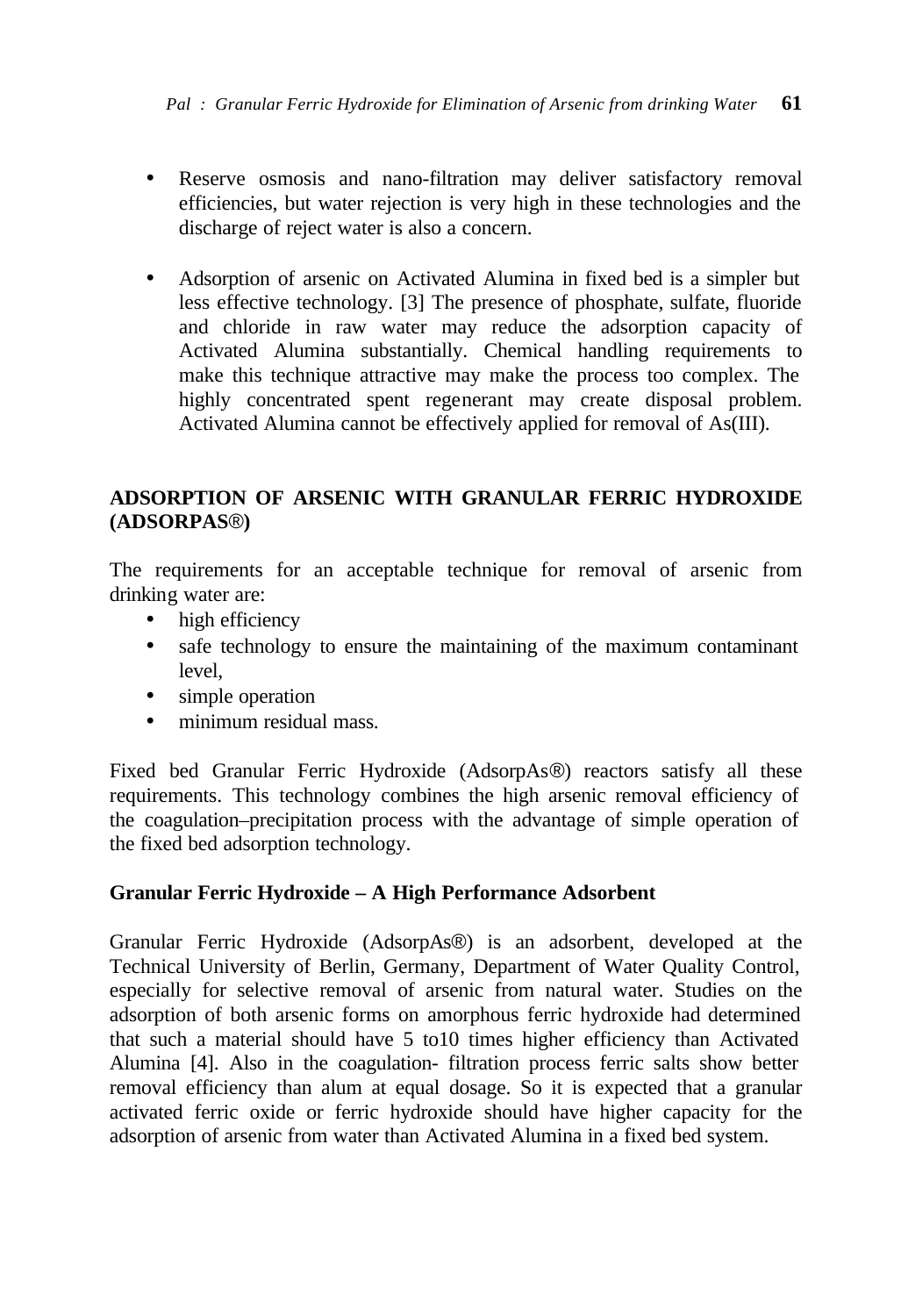- Reserve osmosis and nano-filtration may deliver satisfactory removal efficiencies, but water rejection is very high in these technologies and the discharge of reject water is also a concern.
- Adsorption of arsenic on Activated Alumina in fixed bed is a simpler but less effective technology. [3] The presence of phosphate, sulfate, fluoride and chloride in raw water may reduce the adsorption capacity of Activated Alumina substantially. Chemical handling requirements to make this technique attractive may make the process too complex. The highly concentrated spent regenerant may create disposal problem. Activated Alumina cannot be effectively applied for removal of As(III).

# **ADSORPTION OF ARSENIC WITH GRANULAR FERRIC HYDROXIDE (ADSORPAS**®**)**

The requirements for an acceptable technique for removal of arsenic from drinking water are:

- high efficiency
- safe technology to ensure the maintaining of the maximum contaminant level,
- simple operation
- minimum residual mass.

Fixed bed Granular Ferric Hydroxide (AdsorpAs®) reactors satisfy all these requirements. This technology combines the high arsenic removal efficiency of the coagulation–precipitation process with the advantage of simple operation of the fixed bed adsorption technology.

## **Granular Ferric Hydroxide – A High Performance Adsorbent**

Granular Ferric Hydroxide (AdsorpAs®) is an adsorbent, developed at the Technical University of Berlin, Germany, Department of Water Quality Control, especially for selective removal of arsenic from natural water. Studies on the adsorption of both arsenic forms on amorphous ferric hydroxide had determined that such a material should have 5 to10 times higher efficiency than Activated Alumina [4]. Also in the coagulation- filtration process ferric salts show better removal efficiency than alum at equal dosage. So it is expected that a granular activated ferric oxide or ferric hydroxide should have higher capacity for the adsorption of arsenic from water than Activated Alumina in a fixed bed system.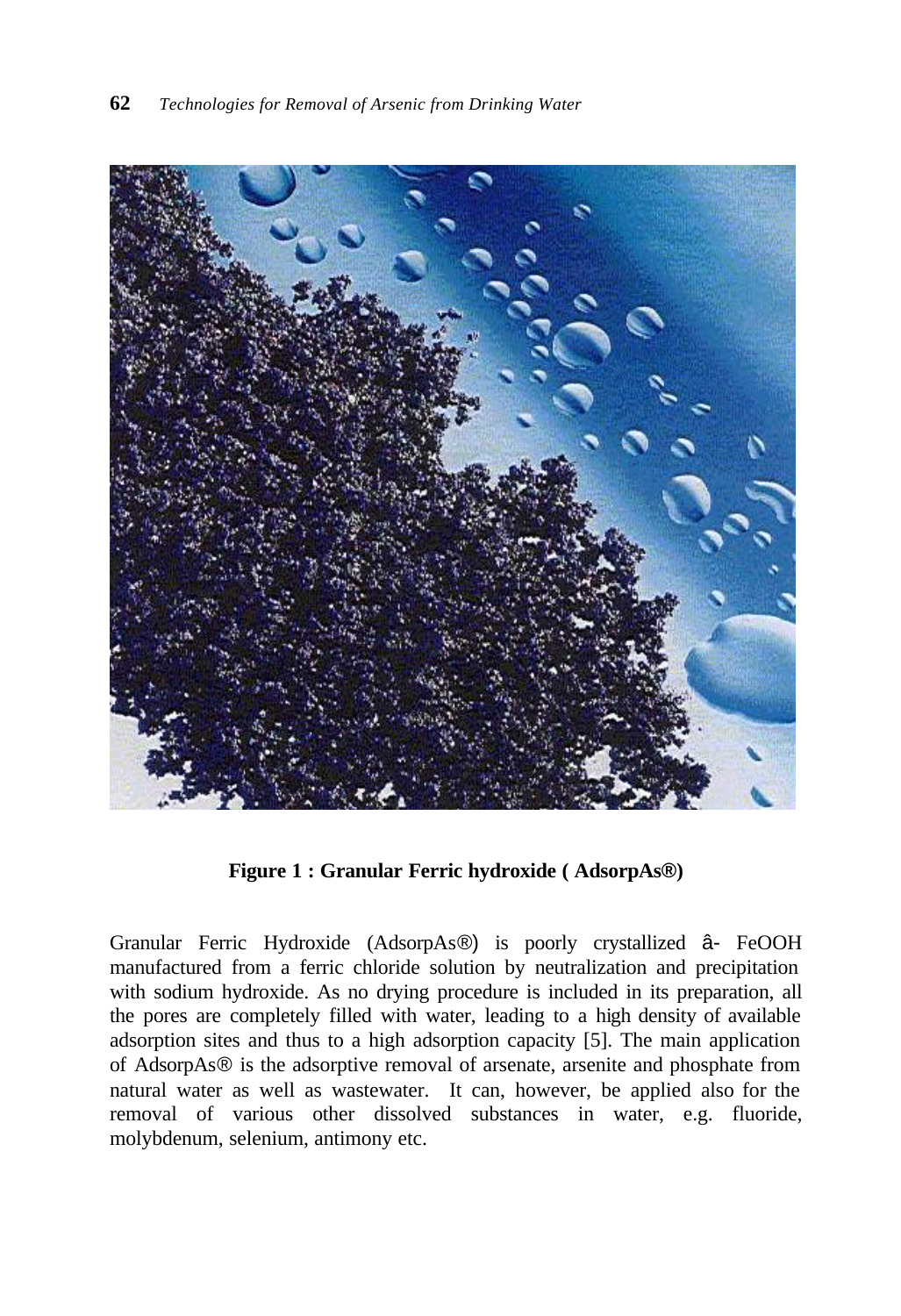

**Figure 1 : Granular Ferric hydroxide ( AdsorpAs®)**

Granular Ferric Hydroxide (AdsorpAs®) is poorly crystallized â- FeOOH manufactured from a ferric chloride solution by neutralization and precipitation with sodium hydroxide. As no drying procedure is included in its preparation, all the pores are completely filled with water, leading to a high density of available adsorption sites and thus to a high adsorption capacity [5]. The main application of AdsorpAs® is the adsorptive removal of arsenate, arsenite and phosphate from natural water as well as wastewater. It can, however, be applied also for the removal of various other dissolved substances in water, e.g. fluoride, molybdenum, selenium, antimony etc.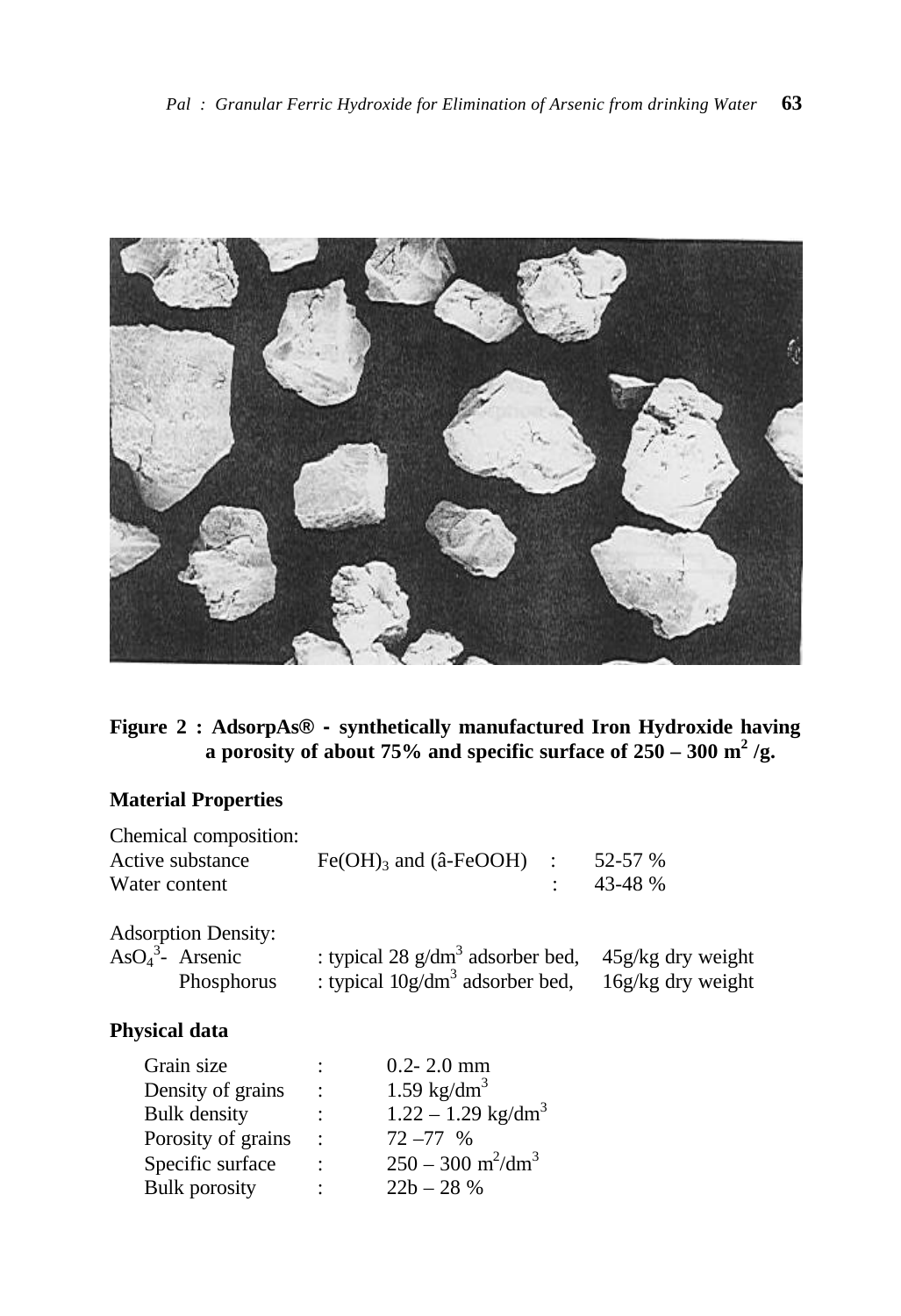

# **Figure 2 : AdsorpAs® - synthetically manufactured Iron Hydroxide having a** porosity of about 75% and specific surface of  $250 - 300$  m<sup>2</sup>/g.

# **Material Properties**

Bulk porosity :

| Chemical composition:<br>Active substance<br>Water content       |                | $Fe(OH)$ <sub>3</sub> and ( $â$ - $FeOOH$ )                              | $\mathbb{R}^2$<br>٠ | 52-57 %<br>43-48 %                         |
|------------------------------------------------------------------|----------------|--------------------------------------------------------------------------|---------------------|--------------------------------------------|
| <b>Adsorption Density:</b><br>As $O_4^3$ - Arsenic<br>Phosphorus |                | : typical 28 $g/dm3$ adsorber bed,<br>: typical $10g/dm^3$ adsorber bed, |                     | $45g/kg$ dry weight<br>$16g/kg$ dry weight |
| <b>Physical data</b>                                             |                |                                                                          |                     |                                            |
| Grain size                                                       |                | $0.2 - 2.0$ mm                                                           |                     |                                            |
| Density of grains                                                | $\ddot{\cdot}$ | $1.59$ kg/dm <sup>3</sup>                                                |                     |                                            |
| <b>Bulk</b> density                                              | $\ddot{\cdot}$ | $1.22 - 1.29$ kg/dm <sup>3</sup>                                         |                     |                                            |
| Porosity of grains                                               |                | $72 - 77$ %                                                              |                     |                                            |
| Specific surface                                                 |                | $250 - 300$ m <sup>2</sup> /dm <sup>3</sup>                              |                     |                                            |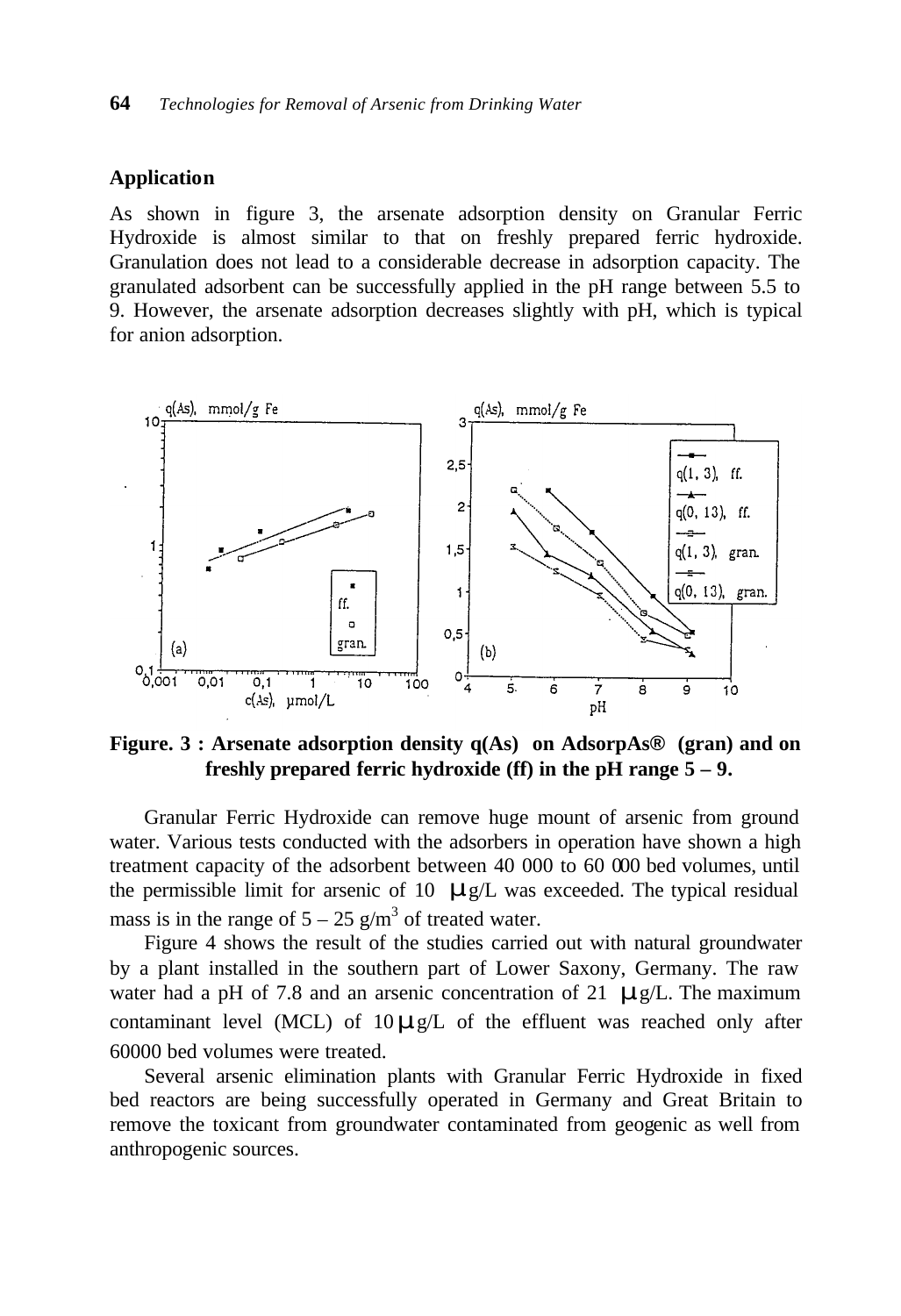#### **Application**

As shown in figure 3, the arsenate adsorption density on Granular Ferric Hydroxide is almost similar to that on freshly prepared ferric hydroxide. Granulation does not lead to a considerable decrease in adsorption capacity. The granulated adsorbent can be successfully applied in the pH range between 5.5 to 9. However, the arsenate adsorption decreases slightly with pH, which is typical for anion adsorption.



**Figure. 3 : Arsenate adsorption density q(As) on AdsorpAs® (gran) and on freshly prepared ferric hydroxide (ff) in the pH range 5 – 9.**

Granular Ferric Hydroxide can remove huge mount of arsenic from ground water. Various tests conducted with the adsorbers in operation have shown a high treatment capacity of the adsorbent between 40 000 to 60 000 bed volumes, until the permissible limit for arsenic of 10 *m*g/L was exceeded. The typical residual mass is in the range of  $5 - 25$  g/m<sup>3</sup> of treated water.

Figure 4 shows the result of the studies carried out with natural groundwater by a plant installed in the southern part of Lower Saxony, Germany. The raw water had a pH of 7.8 and an arsenic concentration of 21 *m*g/L. The maximum contaminant level (MCL) of 10*m*g/L of the effluent was reached only after 60000 bed volumes were treated.

Several arsenic elimination plants with Granular Ferric Hydroxide in fixed bed reactors are being successfully operated in Germany and Great Britain to remove the toxicant from groundwater contaminated from geogenic as well from anthropogenic sources.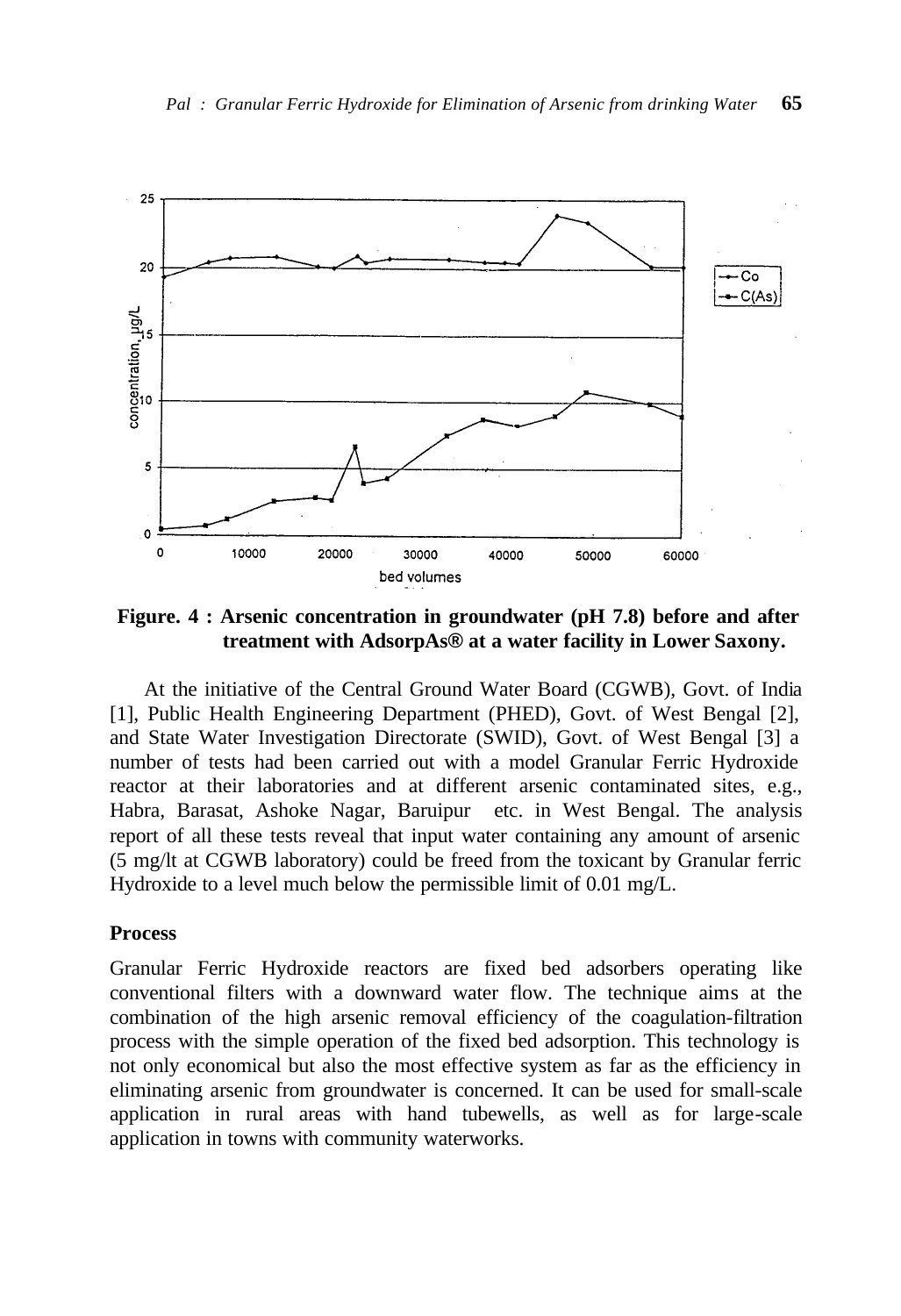

 **Figure. 4 : Arsenic concentration in groundwater (pH 7.8) before and after treatment with AdsorpAs® at a water facility in Lower Saxony.**

At the initiative of the Central Ground Water Board (CGWB), Govt. of India [1], Public Health Engineering Department (PHED), Govt. of West Bengal [2], and State Water Investigation Directorate (SWID), Govt. of West Bengal [3] a number of tests had been carried out with a model Granular Ferric Hydroxide reactor at their laboratories and at different arsenic contaminated sites, e.g., Habra, Barasat, Ashoke Nagar, Baruipur etc. in West Bengal. The analysis report of all these tests reveal that input water containing any amount of arsenic (5 mg/lt at CGWB laboratory) could be freed from the toxicant by Granular ferric Hydroxide to a level much below the permissible limit of 0.01 mg/L.

## **Process**

Granular Ferric Hydroxide reactors are fixed bed adsorbers operating like conventional filters with a downward water flow. The technique aims at the combination of the high arsenic removal efficiency of the coagulation-filtration process with the simple operation of the fixed bed adsorption. This technology is not only economical but also the most effective system as far as the efficiency in eliminating arsenic from groundwater is concerned. It can be used for small-scale application in rural areas with hand tubewells, as well as for large-scale application in towns with community waterworks.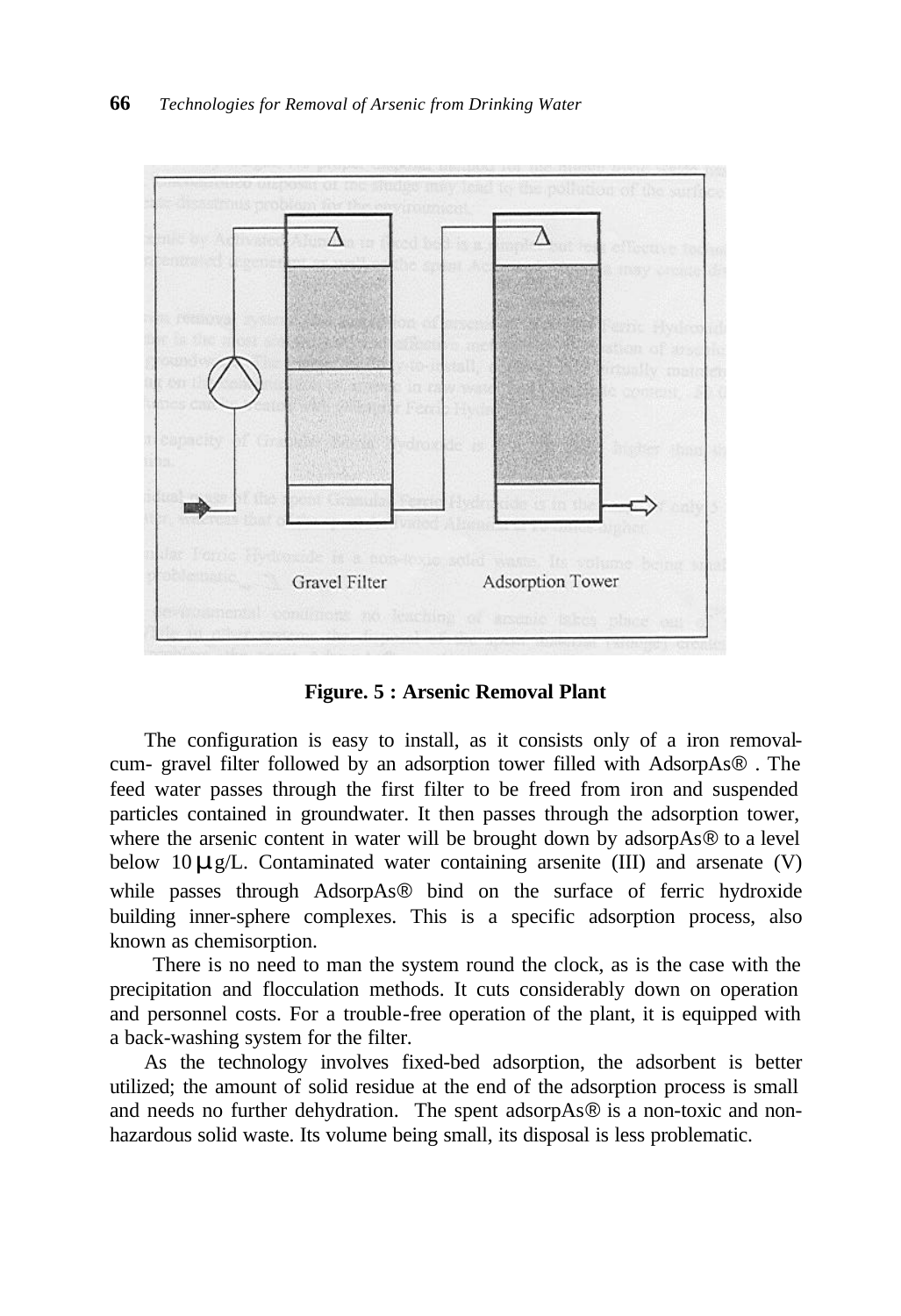

**Figure. 5 : Arsenic Removal Plant**

The configuration is easy to install, as it consists only of a iron removalcum- gravel filter followed by an adsorption tower filled with AdsorpAs® . The feed water passes through the first filter to be freed from iron and suspended particles contained in groundwater. It then passes through the adsorption tower, where the arsenic content in water will be brought down by adsorpAs® to a level below 10*m*g/L. Contaminated water containing arsenite (III) and arsenate (V) while passes through AdsorpAs® bind on the surface of ferric hydroxide building inner-sphere complexes. This is a specific adsorption process, also known as chemisorption.

 There is no need to man the system round the clock, as is the case with the precipitation and flocculation methods. It cuts considerably down on operation and personnel costs. For a trouble-free operation of the plant, it is equipped with a back-washing system for the filter.

As the technology involves fixed-bed adsorption, the adsorbent is better utilized; the amount of solid residue at the end of the adsorption process is small and needs no further dehydration. The spent adsorpAs® is a non-toxic and nonhazardous solid waste. Its volume being small, its disposal is less problematic.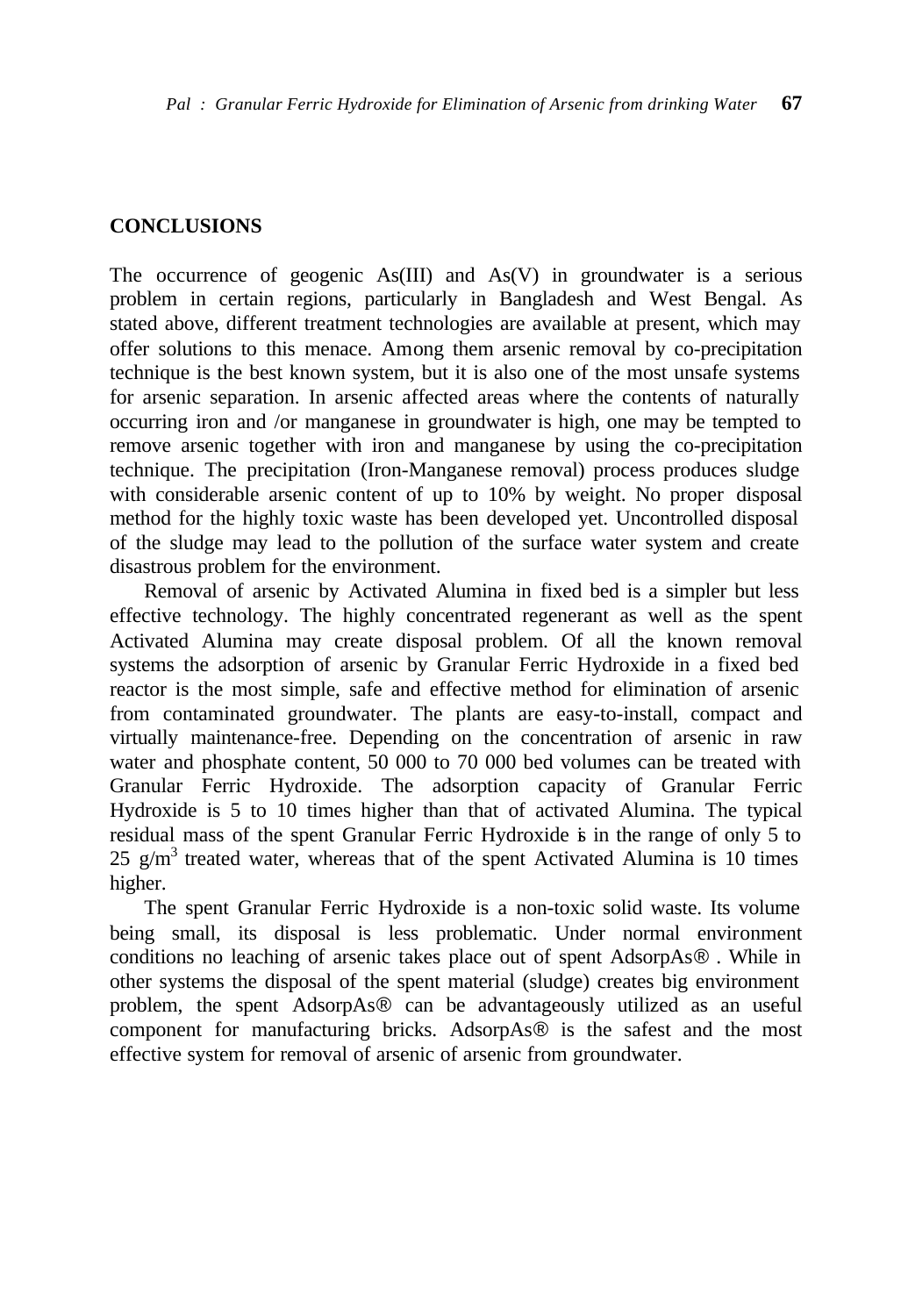### **CONCLUSIONS**

The occurrence of geogenic  $As(III)$  and  $As(V)$  in groundwater is a serious problem in certain regions, particularly in Bangladesh and West Bengal. As stated above, different treatment technologies are available at present, which may offer solutions to this menace. Among them arsenic removal by co-precipitation technique is the best known system, but it is also one of the most unsafe systems for arsenic separation. In arsenic affected areas where the contents of naturally occurring iron and /or manganese in groundwater is high, one may be tempted to remove arsenic together with iron and manganese by using the co-precipitation technique. The precipitation (Iron-Manganese removal) process produces sludge with considerable arsenic content of up to 10% by weight. No proper disposal method for the highly toxic waste has been developed yet. Uncontrolled disposal of the sludge may lead to the pollution of the surface water system and create disastrous problem for the environment.

Removal of arsenic by Activated Alumina in fixed bed is a simpler but less effective technology. The highly concentrated regenerant as well as the spent Activated Alumina may create disposal problem. Of all the known removal systems the adsorption of arsenic by Granular Ferric Hydroxide in a fixed bed reactor is the most simple, safe and effective method for elimination of arsenic from contaminated groundwater. The plants are easy-to-install, compact and virtually maintenance-free. Depending on the concentration of arsenic in raw water and phosphate content, 50 000 to 70 000 bed volumes can be treated with Granular Ferric Hydroxide. The adsorption capacity of Granular Ferric Hydroxide is 5 to 10 times higher than that of activated Alumina. The typical residual mass of the spent Granular Ferric Hydroxide is in the range of only 5 to 25  $g/m<sup>3</sup>$  treated water, whereas that of the spent Activated Alumina is 10 times higher.

The spent Granular Ferric Hydroxide is a non-toxic solid waste. Its volume being small, its disposal is less problematic. Under normal environment conditions no leaching of arsenic takes place out of spent AdsorpAs® . While in other systems the disposal of the spent material (sludge) creates big environment problem, the spent AdsorpAs® can be advantageously utilized as an useful component for manufacturing bricks. AdsorpAs® is the safest and the most effective system for removal of arsenic of arsenic from groundwater.